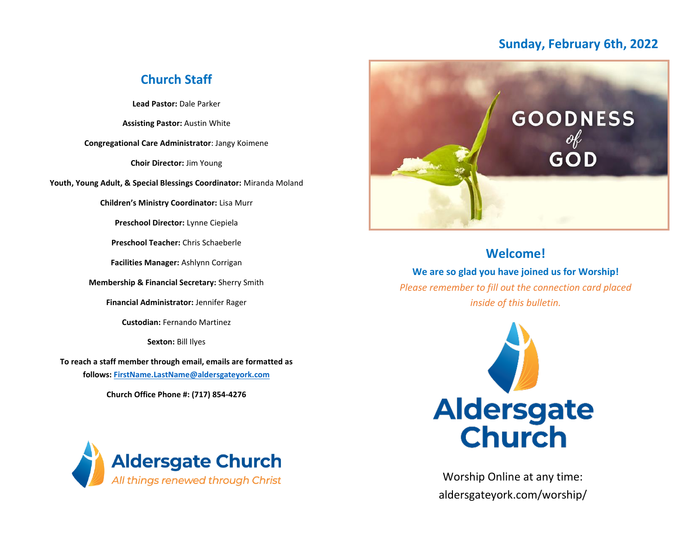### **Sunday, February 6th, 2022**

### **Church Staff**

**Lead Pastor:** Dale Parker

**Assisting Pastor:** Austin White

**Congregational Care Administrator**: Jangy Koimene

**Choir Director:** Jim Young

**Youth, Young Adult, & Special Blessings Coordinator:** Miranda Moland

**Children's Ministry Coordinator:** Lisa Murr

**Preschool Director:** Lynne Ciepiela

**Preschool Teacher:** Chris Schaeberle

**Facilities Manager:** Ashlynn Corrigan

**Membership & Financial Secretary:** Sherry Smith

**Financial Administrator:** Jennifer Rager

**Custodian:** Fernando Martinez

**Sexton:** Bill Ilyes

**To reach a staff member through email, emails are formatted as follows: [FirstName.LastName@aldersgateyork.com](mailto:FirstName.LastName@aldersgateyork.com)**

**Church Office Phone #: (717) 854-4276**





### **Welcome!**

**We are so glad you have joined us for Worship!** *Please remember to fill out the connection card placed inside of this bulletin.*



Worship Online at any time: aldersgateyork.com/worship/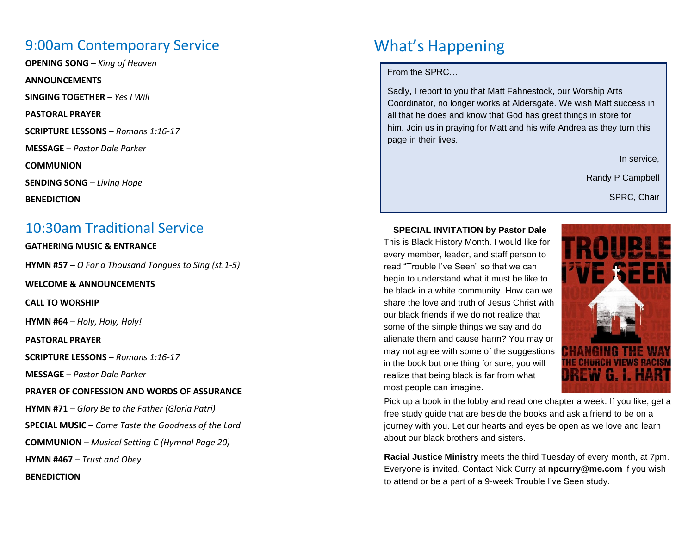### 9:00am Contemporary Service

**OPENING SONG** – *King of Heaven*

**ANNOUNCEMENTS**

**SINGING TOGETHER** – *Yes I Will*

**PASTORAL PRAYER**

**SCRIPTURE LESSONS** – *Romans 1:16-17*

**MESSAGE** – *Pastor Dale Parker*

**COMMUNION**

**SENDING SONG** – *Living Hope*

**BENEDICTION**

### 10:30am Traditional Service

### **GATHERING MUSIC & ENTRANCE**

**HYMN #57** – *O For a Thousand Tongues to Sing (st.1-5)*

**WELCOME & ANNOUNCEMENTS**

**CALL TO WORSHIP**

**HYMN #64** – *Holy, Holy, Holy!*

**PASTORAL PRAYER**

**SCRIPTURE LESSONS** – *Romans 1:16-17*

**MESSAGE** – *Pastor Dale Parker*

**PRAYER OF CONFESSION AND WORDS OF ASSURANCE**

**HYMN #71** – *Glory Be to the Father (Gloria Patri)*

**SPECIAL MUSIC** – *Come Taste the Goodness of the Lord*

**COMMUNION** – *Musical Setting C (Hymnal Page 20)*

**HYMN #467** – *Trust and Obey*

**BENEDICTION**

# What's Happening

From the SPRC…

Sadly, I report to you that Matt Fahnestock, our Worship Arts Coordinator, no longer works at Aldersgate. We wish Matt success in all that he does and know that God has great things in store for him. Join us in praying for Matt and his wife Andrea as they turn this page in their lives.

In service,

Randy P Campbell

SPRC, Chair

**SPECIAL INVITATION by Pastor Dale**

This is Black History Month. I would like for every member, leader, and staff person to read "Trouble I've Seen" so that we can begin to understand what it must be like to be black in a white community. How can we share the love and truth of Jesus Christ with our black friends if we do not realize that some of the simple things we say and do alienate them and cause harm? You may or may not agree with some of the suggestions in the book but one thing for sure, you will realize that being black is far from what most people can imagine.



Pick up a book in the lobby and read one chapter a week. If you like, get a free study guide that are beside the books and ask a friend to be on a journey with you. Let our hearts and eyes be open as we love and learn about our black brothers and sisters.

**Racial Justice Ministry** meets the third Tuesday of every month, at 7pm. Everyone is invited. Contact Nick Curry at **npcurry@me.com** if you wish to attend or be a part of a 9-week Trouble I've Seen study.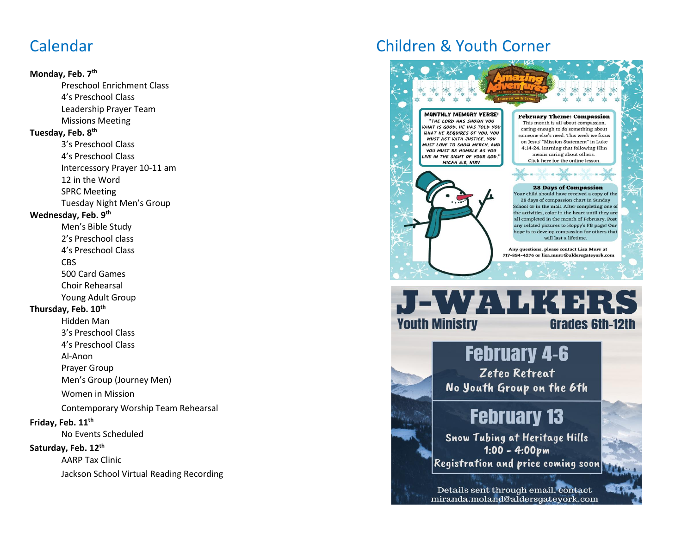## Calendar

#### **Monday, Feb. 7th**

Preschool Enrichment Class 4's Preschool Class Leadership Prayer Team Missions Meeting **Tuesday, Feb. 8 th** 3's Preschool Class 4's Preschool Class Intercessory Prayer 10-11 am 12 in the Word SPRC Meeting Tuesday Night Men's Group **Wednesday, Feb. 9 th** Men's Bible Study 2's Preschool class 4's Preschool Class CBS 500 Card Games Choir Rehearsal Young Adult Group **Thursday, Feb. 10th** Hidden Man 3's Preschool Class 4's Preschool Class Al-Anon Prayer Group Men's Group (Journey Men) Women in Mission Contemporary Worship Team Rehearsal

#### **Friday, Feb. 11th**

No Events Scheduled

#### **Saturday, Feb. 12th**

AARP Tax Clinic

Jackson School Virtual Reading Recording

# Children & Youth Corner